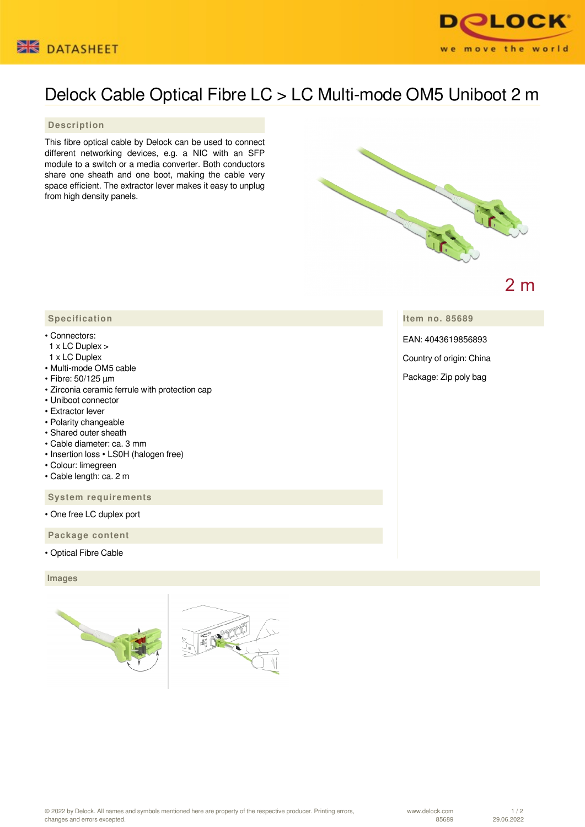



# Delock Cable Optical Fibre LC > LC Multi-mode OM5 Uniboot 2 m

## **Description**

This fibre optical cable by Delock can be used to connect different networking devices, e.g. a NIC with an SFP module to a switch or a media converter. Both conductors share one sheath and one boot, making the cable very space efficient. The extractor lever makes it easy to unplug from high density panels.



 $2<sub>m</sub>$ 

**Item no. 85689**

EAN: 4043619856893

Country of origin: China

Package: Zip poly bag

## **Specification**

### • Connectors:

- 1 x LC Duplex >
- 1 x LC Duplex
- Multi-mode OM5 cable
- Fibre: 50/125 µm
- Zirconia ceramic ferrule with protection cap
- Uniboot connector
- Extractor lever
- Polarity changeable
- Shared outer sheath
- Cable diameter: ca. 3 mm
- Insertion loss LS0H (halogen free)
- Colour: limegreen
- Cable length: ca. 2 m

 **System requirements**

• One free LC duplex port

 **Package content**

• Optical Fibre Cable

### **Images**





© 2022 by Delock. All names and symbols mentioned here are property of the respective producer. Printing errors, changes and errors excepted.